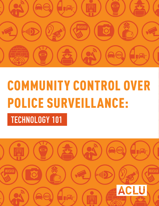

# COMMUNITY CONTROL OVER POLICE SURVEILLANCE:  **TECHNOLOGY 101**

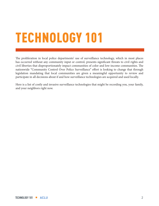# TECHNOLOGY 101

The proliferation in local police departments' use of surveillance technology, which in most places has occurred without any community input or control, presents significant threats to civil rights and civil liberties that disproportionately impact communities of color and low-income communities. The nationwide "Community Control Over Police Surveillance" effort is looking to change that through legislation mandating that local communities are given a meaningful opportunity to review and participate in all decisions about if and how surveillance technologies are acquired and used locally.

Here is a list of costly and invasive surveillance technologies that might be recording you, your family, and your neighbors right now.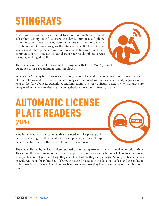# STINGRAYS

Also known as cell-site simulators or international mobile subscriber identity (IMSI) catchers, the device mimics a cell phone communications tower, causing your cell phone to communicate with it. This communications link gives the Stingray the ability to track your location and intercept data from your phone, including voice and typed communications. These devices can disrupt your regular phone service, including making 911 calls.



**ABC-123**

**ABC-123**

The Hailstorm, the latest version of the Stingray, sells for \$169,602 per unit. Operational costs are additional and significant.

Whenever a Stingray is used to locate a phone, it also collects information about hundreds or thousands of other phones and their users. The technology is often used without a warrant, and judges are often kept in the dark about its capabilities and limitations. It is very difficult to detect when Stingrays are being used and to ensure they are not being deployed in a discriminatory manner.

#### AUTOMATIC LICENSE PLATE READERS **(ALPR)**

Mobile or fixed-location cameras that are used to take photographs of license plates, digitize them, and then store, process, and search captured data in real time or over the course of months or even years.

The data collected by ALPRs is often retained by police departments for considerable periods of time. This allows the government to **track where people travel** in their cars, including what doctors they go to, what political or religious meetings they attend, and where they sleep at night. Some private companies provide ALPRs to the police free of charge in return for access to the data they collect and the ability to collect fees from private citizens later, such as a vehicle owner they identify as owing outstanding court fees.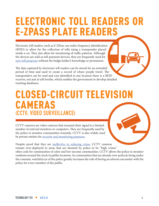## ELECTRONIC TOLL READERS OR E-ZPASS PLATE READERS

Electronic toll readers, such as E-ZPass, use radio-frequency identification (RFID) to allow for the collection of tolls using a transponder placed inside a car. They also allow for monitoring of traffic patterns. Although the devices are sold as toll-payment devices, they are frequently used for non-toll purposes without the badge holder's knowledge or permission.

The data captured by electronic toll readers can be stored for an extended period of time and used to create a record of where people travel. The transponders can be read and cars identified in any location there is a RFID receiver, not just at toll booths, which enables the government to develop detailed tracking databases.

#### CLOSED-CIRCUIT TELEVISION CAMERAS **(CCTV; VIDEO SURVEILLANCE)**

CCTV cameras are video cameras that transmit their signal to a limited number of external monitors or computers. They are frequently used by the police to monitor communities remotely. CCTV is also widely used by private entities for security and monitoring purposes.

Despite proof that they are ineffective in reducing crime, CCTV cameras remain over-deployed in areas that are deemed by police to be "high crime," often code for communities of color and low-income communities. CCTV allows the police to monitor residents around the clock in public locations. In communities that are already over-policed, being under the constant, watchful eye of the police greatly increases the risk of having an adverse encounter with the police for every member of the public.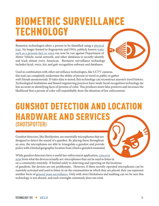## BIOMETRIC SURVEILLANCE TECHNOLOGY

Biometric technologies allow a person to be identified using a physical trait. No longer limited to fingerprints and DNA, publicly known traits such as a person's face or voice can now be run against Department of Motor Vehicle, social network, and other databases to secretly identify and track almost every American. Biometric surveillance technology includes facial, voice, iris, and gait-recognition software and databases.

Used in combination with other surveillance technologies, like CCTV cameras, this tool can completely undermine the ability of person to travel in public or gather with friends anonymously. If video data is stored, this technology can reconstruct anyone's travel history. Technological limitations and biased engineering practices have made facial recognition technology far less accurate in identifying faces of persons of color. This produces more false positives and increases the likelihood that a person of color will unjustifiably draw the attention of law enforcement.

#### GUNSHOT DETECTION AND LOCATION HARDWARE AND SERVICES **(SHOTSPOTTER)**

Gunshot detectors, like ShotSpotter, are essentially microphones that are designed to detect the sound of a gunshot. By placing them throughout an area, the microphones are able to triangulate a gunshot and provide police with a limited geographic location from which a gunshot emanated.

While gunshot detectors have a useful law enforcement application, concerns arise from what the devices actually are: microphones that can be used to listen in on a community remotely. If limited solely to detecting and reporting on the locations of gunshots, the devices are not problematic. However, if these secretly operated microphones can be remotely activated and used to listen in on the communities in which they are placed, they can represent another form of general mass surveillance. Only with strict limitations and auditing can we be sure this technology is not abused, and such oversight commonly does not exist.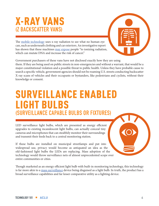#### X-RAY VANS **(Z BACKSCATTER VANS)**

The mobile technology uses x-ray radiation to see what no human eye can, such as underneath clothing and car exteriors. An investigative report has shown that these machines may expose people "to ionizing radiation, which can mutate DNA and increase the risk of cancer."

Government purchasers of these vans have not disclosed exactly how they are using them. If they are being used on public streets in non-emergencies and without a warrant, that would be a major constitutional violation and a possible threat to public health. Unless they have probable cause to search a specific vehicle, government agencies should not be roaming U.S. streets conducting backscatter X-ray scans of vehicles and their occupants or bystanders, like pedestrians and cyclists, without their knowledge or consent.

#### SURVEILLANCE ENABLED LIGHT BULBS **(SURVEILLANCE CAPABLE BULBS OR FIXTURES)**

LED surveillance light bulbs, which are presented as energy efficient upgrades to existing incandescent light bulbs, can actually conceal tiny cameras and microphones that can stealthily monitor their surroundings and transmit their feeds back to a central monitoring station.

If these bulbs are installed on municipal streetlamps and put into widespread use, privacy would become as antiquated an idea as the old-fashioned light bulbs the LEDs are replacing. Mass adoption of the technology would throw surveillance nets of almost unprecedented scope over entire communities or cities.

Though marketed as an energy efficient light bulb with built-in monitoring technology, this technology is far more akin to a mass surveillance device being disguised as a light bulb. In truth, the product has a broad surveillance capabilities and far lesser comparative utility as a lighting device.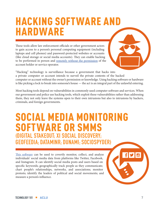## HACKING SOFTWARE AND HARDWARE

These tools allow law enforcement officials or other government actors to gain access to a person's personal computing equipment (including laptops and cell phones) and password-protected websites or accounts (like cloud storage or social media accounts). They can enable hacking to be performed in person and remotely without the permission of the account holder or service operator.

"Hacking" technology is surveillance because a government that hacks into a private computer or account intends to surveil the private contents of the hacked computer or account without the owner's permission or knowledge. Using hacking software or hardware is like picking a lock to break into someone's house — the act is an integral part of the unlawful entering.

Most hacking tools depend on vulnerabilities in commonly used computer software and services. When our government and police use hacking tools, which exploit these vulnerabilities rather than addressing them, they not only leave the systems open to their own intrusions but also to intrusions by hackers, criminals, and foreign governments.

#### SOCIAL MEDIA MONITORING SOFTWARE OR SMMS **(DIGITAL STAKEOUT; XI SOCIAL DISCOVERY; GEOFEEDIA; DATAMINR; DUNAMI; SOCIOSPYDER)**

This software can be used to covertly monitor, collect, and analyze individuals' social media data from platforms like Twitter, Facebook, and Instagram. It can identify social media posts and users based on specific keywords; geographically track people as they communicate; chart people's relationships, networks, and associations; monitor protests; identify the leaders of political and social movements; and measure a person's influence.

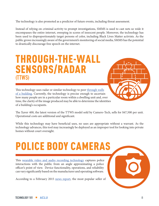The technology is also promoted as a predictor of future events, including threat assessment.

Instead of relying on criminal activity to prompt investigations, SMMS is used to cast nets so wide it encompasses the entire internet, sweeping in scores of innocent people. Moreover, the technology has been used to disproportionately target persons of color, including Black Lives Matter activists. As the public grows increasingly aware of the government's monitoring of social media, SMMS has the potential to drastically discourage free speech on the internet.

#### THROUGH-THE-WALL SENSORS/RADAR **(TTWS)**



This technology uses radar or similar technology to peer through walls of a building. Currently, the technology is precise enough to ascertain how many people are in a particular room within a dwelling unit and, over time, the clarity of the image produced may be able to determine the identities of a building's occupants.

The Xaver 400, the latest version of the TTWS model sold by Camero-Tech, sells for \$47,500 per unit. Operational costs are additional and significant.

While this technology may have beneficial uses, no uses are appropriate without a warrant. As the technology advances, this tool may increasingly be deployed as an improper tool for looking into private homes without court oversight.

# POLICE BODY CAMERAS

This wearable video and audio recording technology captures police interactions with the public from an angle approximating a police officer's point of view. Device functionality, operations, and reliability can vary significantly based on the manufacturer and operating software.

According to a February 2015 news report, the most popular seller of